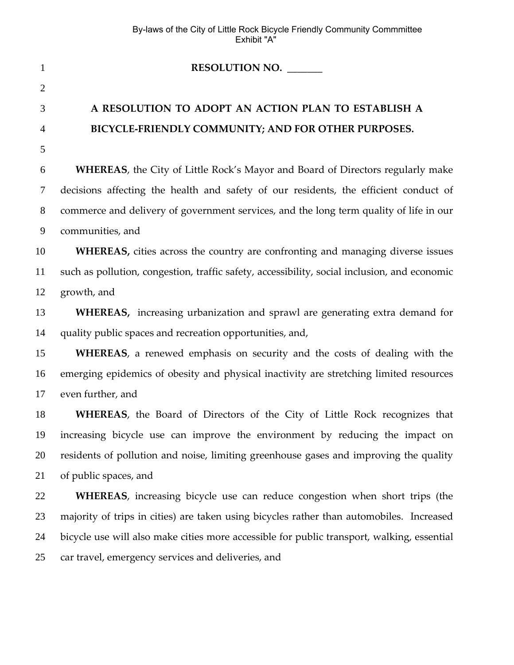| $\mathbf{1}$   | RESOLUTION NO.                                                                               |
|----------------|----------------------------------------------------------------------------------------------|
| $\overline{2}$ |                                                                                              |
| 3              | A RESOLUTION TO ADOPT AN ACTION PLAN TO ESTABLISH A                                          |
| 4              | BICYCLE-FRIENDLY COMMUNITY; AND FOR OTHER PURPOSES.                                          |
| 5              |                                                                                              |
| 6              | WHEREAS, the City of Little Rock's Mayor and Board of Directors regularly make               |
| 7              | decisions affecting the health and safety of our residents, the efficient conduct of         |
| $8\phantom{.}$ | commerce and delivery of government services, and the long term quality of life in our       |
| 9              | communities, and                                                                             |
| 10             | WHEREAS, cities across the country are confronting and managing diverse issues               |
| 11             | such as pollution, congestion, traffic safety, accessibility, social inclusion, and economic |
| 12             | growth, and                                                                                  |
| 13             | WHEREAS, increasing urbanization and sprawl are generating extra demand for                  |
| 14             | quality public spaces and recreation opportunities, and,                                     |
| 15             | WHEREAS, a renewed emphasis on security and the costs of dealing with the                    |
| 16             | emerging epidemics of obesity and physical inactivity are stretching limited resources       |
| 17             | even further, and                                                                            |
| 18             | WHEREAS, the Board of Directors of the City of Little Rock recognizes that                   |
| 19             | increasing bicycle use can improve the environment by reducing the impact on                 |
| 20             | residents of pollution and noise, limiting greenhouse gases and improving the quality        |
| 21             | of public spaces, and                                                                        |
| 22             | WHEREAS, increasing bicycle use can reduce congestion when short trips (the                  |
| 23             | majority of trips in cities) are taken using bicycles rather than automobiles. Increased     |
| 24             | bicycle use will also make cities more accessible for public transport, walking, essential   |
| 25             | car travel, emergency services and deliveries, and                                           |
|                |                                                                                              |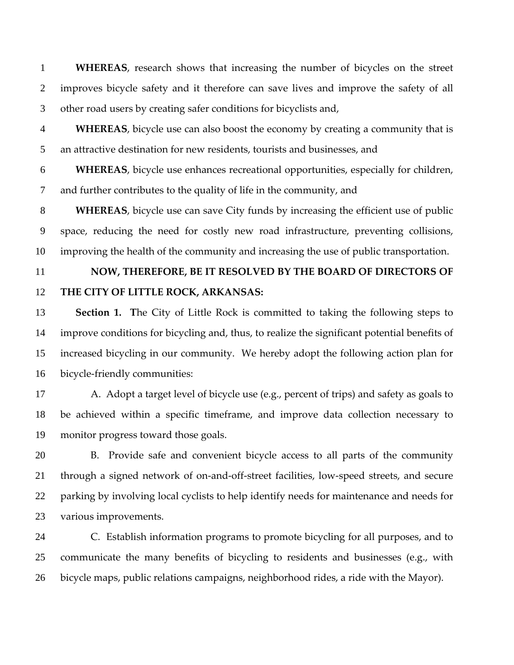**WHEREAS**, research shows that increasing the number of bicycles on the street improves bicycle safety and it therefore can save lives and improve the safety of all other road users by creating safer conditions for bicyclists and, 1 2 3

4 5 **WHEREAS**, bicycle use can also boost the economy by creating a community that is an attractive destination for new residents, tourists and businesses, and

6 7 **WHEREAS**, bicycle use enhances recreational opportunities, especially for children, and further contributes to the quality of life in the community, and

8 9 10 **WHEREAS**, bicycle use can save City funds by increasing the efficient use of public space, reducing the need for costly new road infrastructure, preventing collisions, improving the health of the community and increasing the use of public transportation.

11

## 12 **NOW, THEREFORE, BE IT RESOLVED BY THE BOARD OF DIRECTORS OF THE CITY OF LITTLE ROCK, ARKANSAS:**

13 14 15 16 **Section 1.** The City of Little Rock is committed to taking the following steps to improve conditions for bicycling and, thus, to realize the significant potential benefits of increased bicycling in our community. We hereby adopt the following action plan for bicycle‐friendly communities:

17 18 19 A. Adopt a target level of bicycle use (e.g., percent of trips) and safety as goals to be achieved within a specific timeframe, and improve data collection necessary to monitor progress toward those goals.

20 21 22 23 B. Provide safe and convenient bicycle access to all parts of the community through a signed network of on‐and‐off‐street facilities, low‐speed streets, and secure parking by involving local cyclists to help identify needs for maintenance and needs for various improvements.

24 25 26 C. Establish information programs to promote bicycling for all purposes, and to communicate the many benefits of bicycling to residents and businesses (e.g., with bicycle maps, public relations campaigns, neighborhood rides, a ride with the Mayor).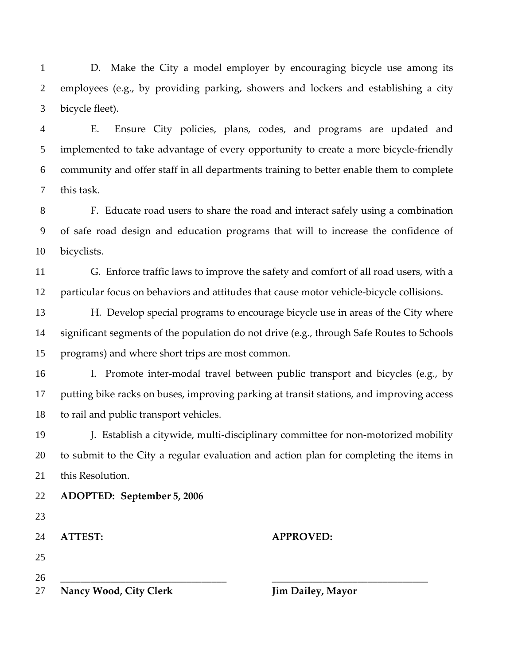D. Make the City a model employer by encouraging bicycle use among its employees (e.g., by providing parking, showers and lockers and establishing a city bicycle fleet). 1 2 3

4 5 6 7 E. Ensure City policies, plans, codes, and programs are updated and implemented to take advantage of every opportunity to create a more bicycle-friendly community and offer staff in all departments training to better enable them to complete this task.

8 9 10 F. Educate road users to share the road and interact safely using a combination of safe road design and education programs that will to increase the confidence of bicyclists.

11 12 G. Enforce traffic laws to improve the safety and comfort of all road users, with a particular focus on behaviors and attitudes that cause motor vehicle‐bicycle collisions.

13 14 15 H. Develop special programs to encourage bicycle use in areas of the City where significant segments of the population do not drive (e.g., through Safe Routes to Schools programs) and where short trips are most common.

16 17 18 I. Promote inter-modal travel between public transport and bicycles (e.g., by putting bike racks on buses, improving parking at transit stations, and improving access to rail and public transport vehicles.

19 20 21 J. Establish a citywide, multi‐disciplinary committee for non‐motorized mobility to submit to the City a regular evaluation and action plan for completing the items in this Resolution.

| 27 | <b>Nancy Wood, City Clerk</b> | <b>Jim Dailey, Mayor</b> |  |
|----|-------------------------------|--------------------------|--|
| 26 |                               |                          |  |
| 25 |                               |                          |  |
| 24 | <b>ATTEST:</b>                | <b>APPROVED:</b>         |  |
| 23 |                               |                          |  |
| 22 | ADOPTED: September 5, 2006    |                          |  |